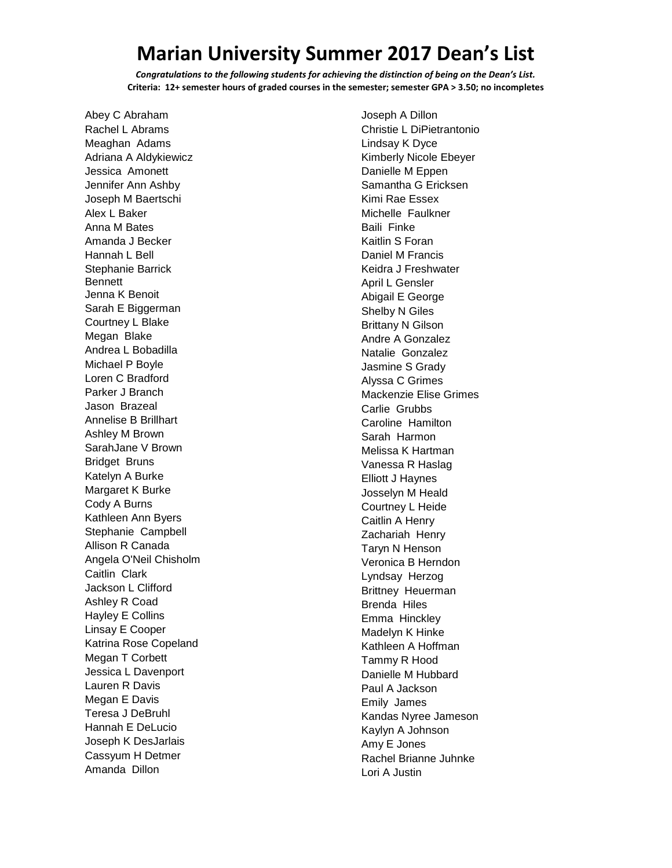## **Marian University Summer 2017 Dean's List**

*Congratulations to the following students for achieving the distinction of being on the Dean's List.* **Criteria: 12+ semester hours of graded courses in the semester; semester GPA > 3.50; no incompletes**

Abey C Abraham Rachel L Abrams Meaghan Adams Adriana A Aldykiewicz Jessica Amonett Jennifer Ann Ashby Joseph M Baertschi Alex L Baker Anna M Bates Amanda J Becker Hannah L Bell Stephanie Barrick Bennett Jenna K Benoit Sarah E Biggerman Courtney L Blake Megan Blake Andrea L Bobadilla Michael P Boyle Loren C Bradford Parker J Branch Jason Brazeal Annelise B Brillhart Ashley M Brown SarahJane V Brown Bridget Bruns Katelyn A Burke Margaret K Burke Cody A Burns Kathleen Ann Byers Stephanie Campbell Allison R Canada Angela O'Neil Chisholm Caitlin Clark Jackson L Clifford Ashley R Coad Hayley E Collins Linsay E Cooper Katrina Rose Copeland Megan T Corbett Jessica L Davenport Lauren R Davis Megan E Davis Teresa J DeBruhl Hannah E DeLucio Joseph K DesJarlais Cassyum H Detmer Amanda Dillon

Joseph A Dillon Christie L DiPietrantonio Lindsay K Dyce Kimberly Nicole Ebeyer Danielle M Eppen Samantha G Ericksen Kimi Rae Essex Michelle Faulkner Baili Finke Kaitlin S Foran Daniel M Francis Keidra J Freshwater April L Gensler Abigail E George Shelby N Giles Brittany N Gilson Andre A Gonzalez Natalie Gonzalez Jasmine S Grady Alyssa C Grimes Mackenzie Elise Grimes Carlie Grubbs Caroline Hamilton Sarah Harmon Melissa K Hartman Vanessa R Haslag Elliott J Haynes Josselyn M Heald Courtney L Heide Caitlin A Henry Zachariah Henry Taryn N Henson Veronica B Herndon Lyndsay Herzog Brittney Heuerman Brenda Hiles Emma Hinckley Madelyn K Hinke Kathleen A Hoffman Tammy R Hood Danielle M Hubbard Paul A Jackson Emily James Kandas Nyree Jameson Kaylyn A Johnson Amy E Jones Rachel Brianne Juhnke Lori A Justin